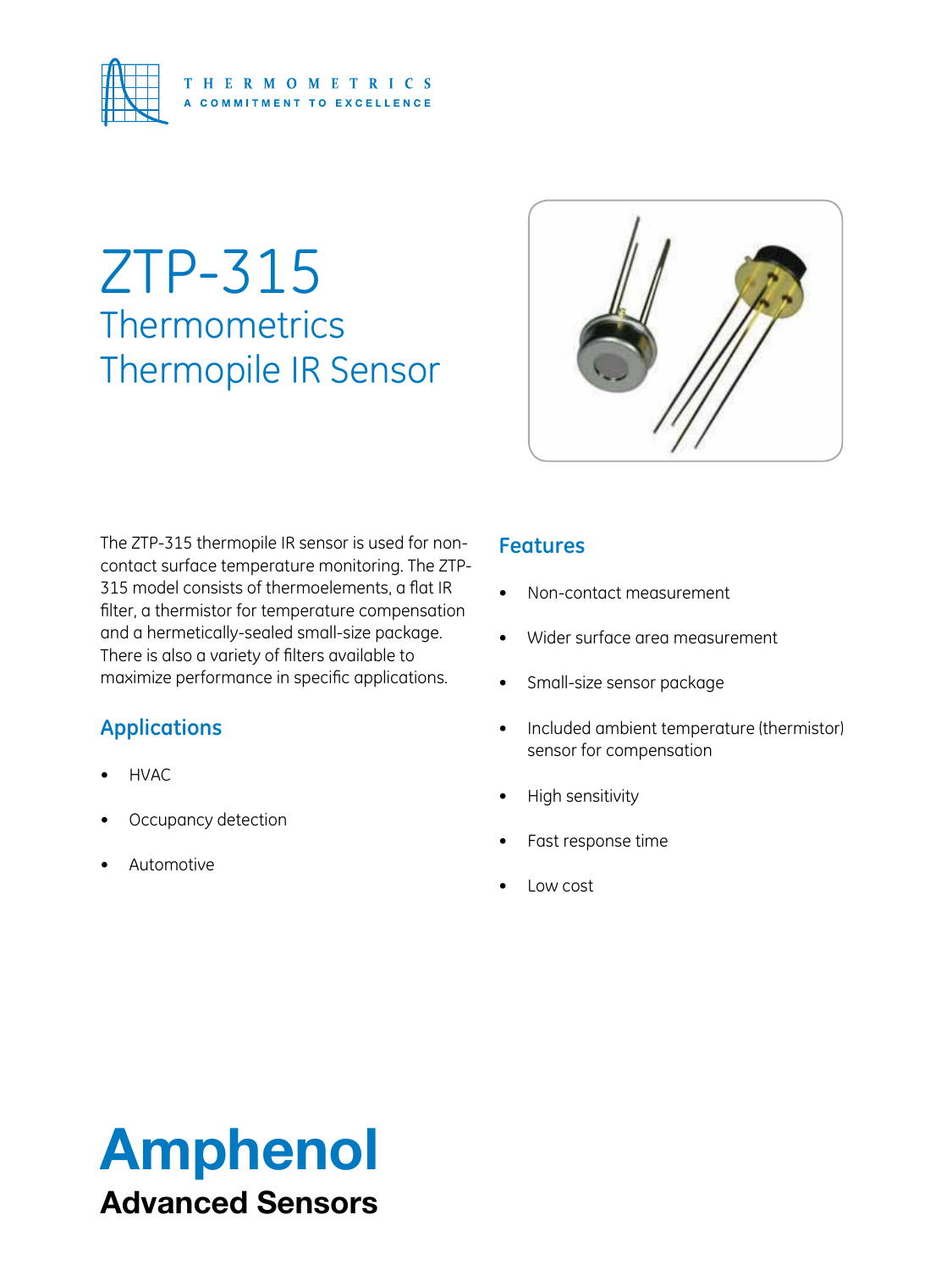

# ZTP-315 **Thermometrics** Thermopile IR Sensor



The ZTP-315 thermopile IR sensor is used for noncontact surface temperature monitoring. The ZTP-315 model consists of thermoelements, a flat IR filter, a thermistor for temperature compensation and a hermetically-sealed small-size package. There is also a variety of filters available to maximize performance in specific applications.

## **Applications**

- **HVAC**
- Occupancy detection
- **Automotive**

## **Features**

- Non-contact measurement
- Wider surface area measurement
- Small-size sensor package
- • Included ambient temperature (thermistor) sensor for compensation
- **High sensitivity**
- Fast response time
- Low cost

# Amphenol Advanced Sensors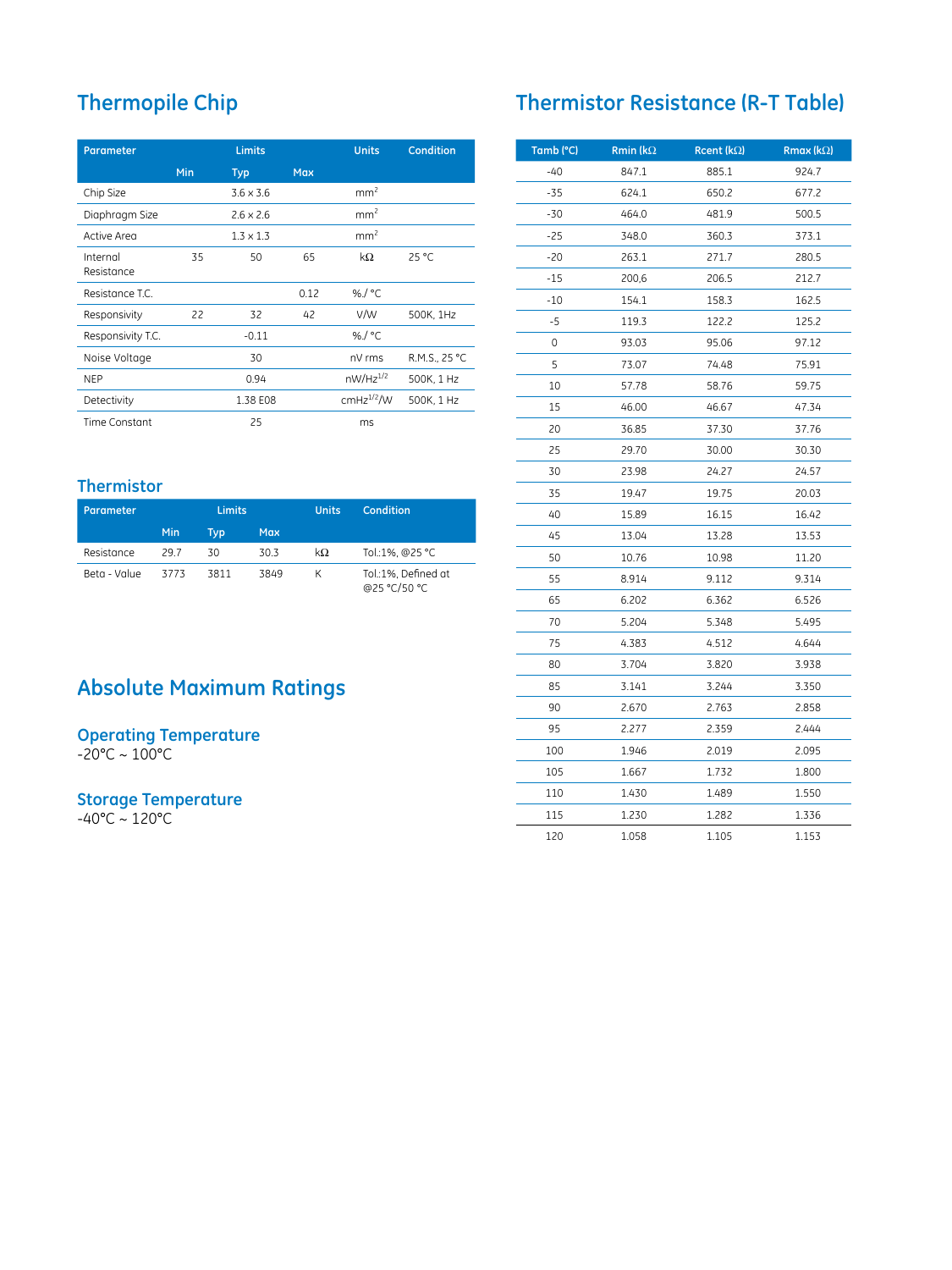# **Thermopile Chip**

| <b>Parameter</b>       | <b>Limits</b> |                  |            | <b>Units</b>    | <b>Condition</b> |
|------------------------|---------------|------------------|------------|-----------------|------------------|
|                        | Min           | <b>Typ</b>       | <b>Max</b> |                 |                  |
| Chip Size              |               | $3.6 \times 3.6$ |            | mm <sup>2</sup> |                  |
| Diaphragm Size         |               | $2.6 \times 2.6$ |            | mm <sup>2</sup> |                  |
| Active Area            |               | $1.3 \times 1.3$ |            | mm <sup>2</sup> |                  |
| Internal<br>Resistance | 35            | 50               | 65         | $k\Omega$       | 25 °C            |
| Resistance T.C.        |               |                  | 0.12       | %/ $°C$         |                  |
| Responsivity           | 22            | 32               | 42         | V/W             | 500K, 1Hz        |
| Responsivity T.C.      |               | $-0.11$          |            | %/ $°C$         |                  |
| Noise Voltage          |               | 30               |            | nV rms          | R.M.S., 25 °C    |
| <b>NEP</b>             |               | 0.94             |            | $nW/Hz^{1/2}$   | 500K, 1 Hz       |
| Detectivity            |               | 1.38 E08         |            | $cmHz^{1/2}$ /W | 500K, 1 Hz       |
| Time Constant          |               | 25               |            | ms              |                  |

### **Thermistor**

| Parameter    |      | <b>Limits</b> |            | <b>Units</b> | Condition                           |
|--------------|------|---------------|------------|--------------|-------------------------------------|
|              | Min  | Typ           | <b>Max</b> |              |                                     |
| Resistance   | 29.7 | 30            | 30.3       | kΩ           | Tol.:1%, @25 °C                     |
| Beta - Value | 3773 | 3811          | 3849       | К            | Tol.:1%, Defined at<br>@25 °C/50 °C |

# **Absolute Maximum Ratings**

#### **Operating Temperature**

-20°C ~ 100°C

#### **Storage Temperature**

-40°C ~ 120°C

# **Thermistor Resistance (R-T Table)**

| Tamb (°C) | <b>Rmin (k<math>\Omega</math></b> | Rcent ( $k\Omega$ ) | <b>Rmax (k</b> $\Omega$ ) |
|-----------|-----------------------------------|---------------------|---------------------------|
| -40       | 847.1                             | 885.1               | 924.7                     |
| -35       | 624.1                             | 650.2               | 677.2                     |
| $-30$     | 464.0                             | 481.9               | 500.5                     |
| $-25$     | 348.0                             | 360.3               | 373.1                     |
| -20       | 263.1                             | 271.7               | 280.5                     |
| $-15$     | 200,6                             | 206.5               | 212.7                     |
| $-10$     | 154.1                             | 158.3               | 162.5                     |
| -5        | 119.3                             | 122.2               | 125.2                     |
| 0         | 93.03                             | 95.06               | 97.12                     |
| 5         | 73.07                             | 74.48               | 75.91                     |
| 10        | 57.78                             | 58.76               | 59.75                     |
| 15        | 46.00                             | 46.67               | 47.34                     |
| 20        | 36.85                             | 37.30               | 37.76                     |
| 25        | 29.70                             | 30.00               | 30.30                     |
| 30        | 23.98                             | 24.27               | 24.57                     |
| 35        | 19.47                             | 19.75               | 20.03                     |
| 40        | 15.89                             | 16.15               | 16.42                     |
| 45        | 13.04                             | 13.28               | 13.53                     |
| 50        | 10.76                             | 10.98               | 11.20                     |
| 55        | 8.914                             | 9.112               | 9.314                     |
| 65        | 6.202                             | 6.362               | 6.526                     |
| 70        | 5.204                             | 5.348               | 5.495                     |
| 75        | 4.383                             | 4.512               | 4.644                     |
| 80        | 3.704                             | 3.820               | 3.938                     |
| 85        | 3.141                             | 3.244               | 3.350                     |
| 90        | 2.670                             | 2.763               | 2.858                     |
| 95        | 2.277                             | 2.359               | 2.444                     |
| 100       | 1.946                             | 2.019               | 2.095                     |
| 105       | 1.667                             | 1.732               | 1.800                     |
| 110       | 1.430                             | 1.489               | 1.550                     |
| 115       | 1.230                             | 1.282               | 1.336                     |
| 120       | 1.058                             | 1.105               | 1.153                     |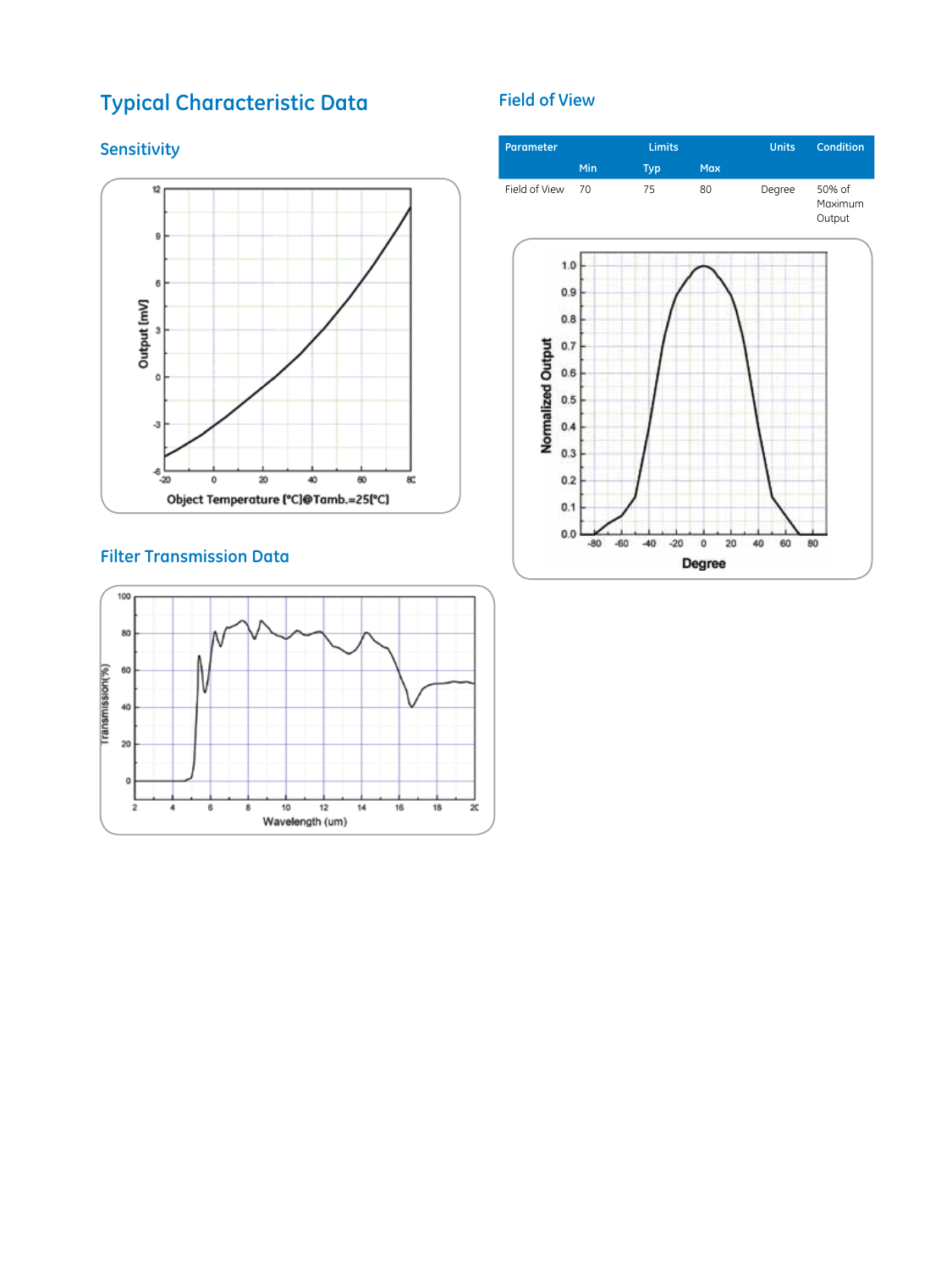# **Typical Characteristic Data**

## **Sensitivity**



## **Filter Transmission Data**



### **Field of View**